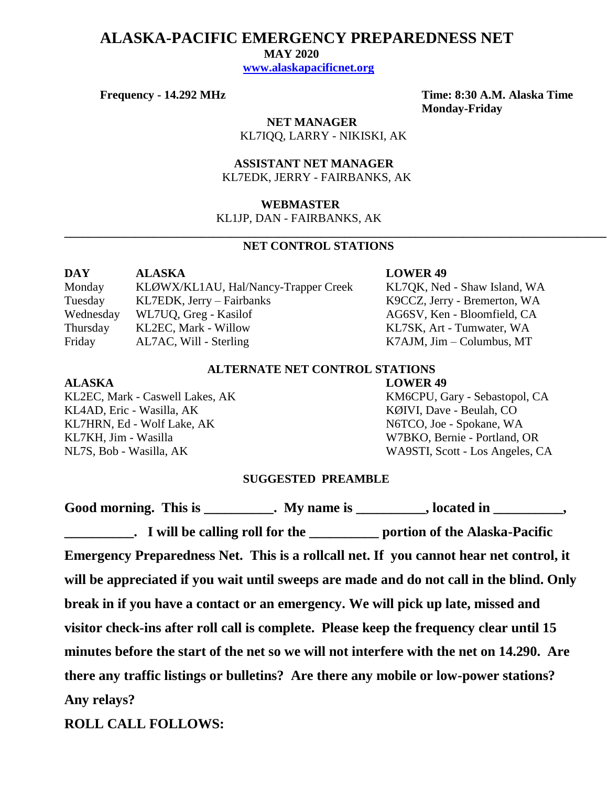## **ALASKA-PACIFIC EMERGENCY PREPAREDNESS NET**

 **MAY 2020**

 **[www.alaskapacificnet.org](http://www.alaskapacificnet.org/)**

**Frequency - 14.292 MHz Time: 8:30 A.M. Alaska Time Monday-Friday**

> **NET MANAGER** KL7IQQ, LARRY - NIKISKI, AK

 **ASSISTANT NET MANAGER**  KL7EDK, JERRY - FAIRBANKS, AK

#### **WEBMASTER**

KL1JP, DAN - FAIRBANKS, AK

### **NET CONTROL STATIONS**

**\_\_\_\_\_\_\_\_\_\_\_\_\_\_\_\_\_\_\_\_\_\_\_\_\_\_\_\_\_\_\_\_\_\_\_\_\_\_\_\_\_\_\_\_\_\_\_\_\_\_\_\_\_\_\_\_\_\_\_\_\_\_\_\_\_\_\_\_\_\_\_\_\_\_\_\_\_\_\_\_\_\_\_\_\_\_\_\_\_\_\_**

| DAY       | <b>ALASKA</b>                        |
|-----------|--------------------------------------|
| Monday    | KLØWX/KL1AU, Hal/Nancy-Trapper Creek |
| Tuesday   | KL7EDK, Jerry – Fairbanks            |
| Wednesday | WL7UQ, Greg - Kasilof                |
| Thursday  | KL2EC, Mark - Willow                 |
| Friday    | AL7AC, Will - Sterling               |

#### **LOWER 49**

KL7QK, Ned - Shaw Island, WA K9CCZ, Jerry - Bremerton, WA AG6SV, Ken - Bloomfield, CA KL7SK, Art - Tumwater, WA  $K7AJM$ , Jim – Columbus, MT

#### **ALTERNATE NET CONTROL STATIONS**

KL4AD, Eric - Wasilla, AK KØIVI, Dave - Beulah, CO KL7HRN, Ed - Wolf Lake, AK N6TCO, Joe - Spokane, WA KL7KH, Jim - Wasilla W7BKO, Bernie - Portland, OR

# **ALASKA LOWER 49**

KL2EC, Mark - Caswell Lakes, AK KM6CPU, Gary - Sebastopol, CA NL7S, Bob - Wasilla, AK WA9STI, Scott - Los Angeles, CA

#### **SUGGESTED PREAMBLE**

Good morning. This is \_\_\_\_\_\_\_\_\_\_. My name is \_\_\_\_\_\_\_\_, located in \_\_\_\_\_\_\_\_\_,

**Lack Lack Equilibrium Lack Lack Equipment Lack Equipment Lack Equipment Lack Equipment Lack Equipment Lack Equipment Lack Equipment Lack Equipment Lack Equipment Lack Equipment Lack Equipment Lack Equipment Lack Equipment Emergency Preparedness Net. This is a rollcall net. If you cannot hear net control, it will be appreciated if you wait until sweeps are made and do not call in the blind. Only break in if you have a contact or an emergency. We will pick up late, missed and visitor check-ins after roll call is complete. Please keep the frequency clear until 15 minutes before the start of the net so we will not interfere with the net on 14.290. Are there any traffic listings or bulletins? Are there any mobile or low-power stations? Any relays?** 

**ROLL CALL FOLLOWS:**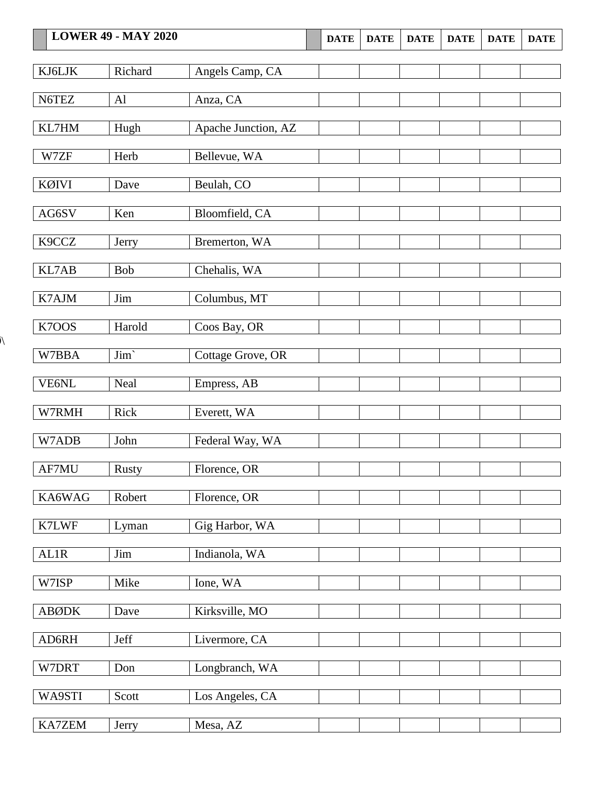|              | <b>LOWER 49 - MAY 2020</b> |                     | <b>DATE</b> | <b>DATE</b> | <b>DATE</b> | <b>DATE</b> | <b>DATE</b> | <b>DATE</b> |
|--------------|----------------------------|---------------------|-------------|-------------|-------------|-------------|-------------|-------------|
|              |                            |                     |             |             |             |             |             |             |
| KJ6LJK       | Richard                    | Angels Camp, CA     |             |             |             |             |             |             |
| N6TEZ        | Al                         | Anza, CA            |             |             |             |             |             |             |
| KL7HM        | Hugh                       | Apache Junction, AZ |             |             |             |             |             |             |
| W7ZF         | Herb                       | Bellevue, WA        |             |             |             |             |             |             |
| KØIVI        | Dave                       | Beulah, CO          |             |             |             |             |             |             |
| AG6SV        | Ken                        | Bloomfield, CA      |             |             |             |             |             |             |
| K9CCZ        | Jerry                      | Bremerton, WA       |             |             |             |             |             |             |
| KL7AB        | <b>Bob</b>                 | Chehalis, WA        |             |             |             |             |             |             |
| K7AJM        | Jim                        | Columbus, MT        |             |             |             |             |             |             |
| K7OOS        | Harold                     | Coos Bay, OR        |             |             |             |             |             |             |
| W7BBA        | Jim'                       | Cottage Grove, OR   |             |             |             |             |             |             |
| VE6NL        | Neal                       | Empress, AB         |             |             |             |             |             |             |
| W7RMH        | Rick                       | Everett, WA         |             |             |             |             |             |             |
| W7ADB        | John                       | Federal Way, WA     |             |             |             |             |             |             |
| AF7MU        | Rusty                      | Florence, OR        |             |             |             |             |             |             |
| KA6WAG       | Robert                     | Florence, OR        |             |             |             |             |             |             |
| K7LWF        | Lyman                      | Gig Harbor, WA      |             |             |             |             |             |             |
| AL1R         | Jim                        | Indianola, WA       |             |             |             |             |             |             |
| W7ISP        | Mike                       | Ione, WA            |             |             |             |             |             |             |
| <b>ABØDK</b> | Dave                       | Kirksville, MO      |             |             |             |             |             |             |
| AD6RH        | Jeff                       | Livermore, CA       |             |             |             |             |             |             |
| W7DRT        | Don                        | Longbranch, WA      |             |             |             |             |             |             |

WA9STI Scott Los Angeles, CA

KA7ZEM Jerry Mesa, AZ

 $\sqrt{2}$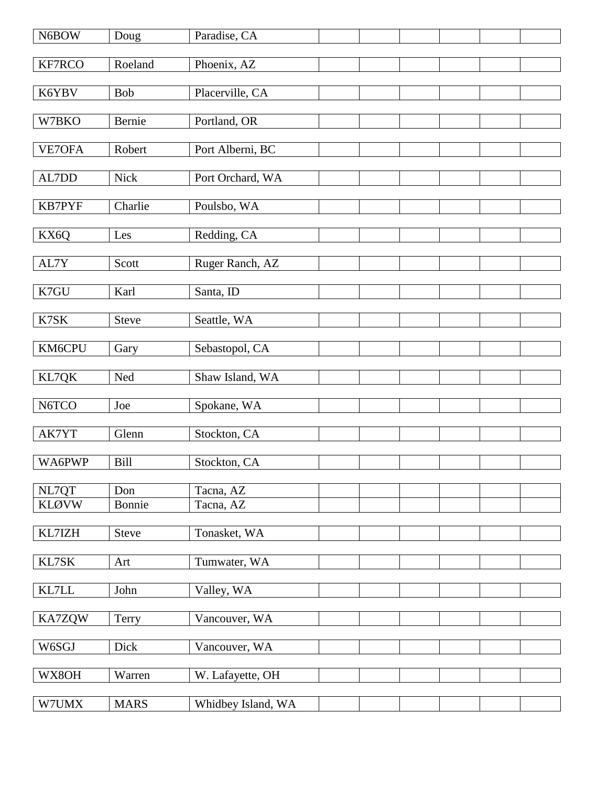| N6BOW         | Doug         | Paradise, CA       |  |  |  |
|---------------|--------------|--------------------|--|--|--|
| <b>KF7RCO</b> | Roeland      | Phoenix, AZ        |  |  |  |
| K6YBV         | <b>Bob</b>   | Placerville, CA    |  |  |  |
|               |              |                    |  |  |  |
| W7BKO         | Bernie       | Portland, OR       |  |  |  |
| VE7OFA        | Robert       | Port Alberni, BC   |  |  |  |
| AL7DD         | <b>Nick</b>  | Port Orchard, WA   |  |  |  |
| <b>KB7PYF</b> | Charlie      | Poulsbo, WA        |  |  |  |
| KX6Q          | Les          | Redding, CA        |  |  |  |
| AL7Y          | Scott        | Ruger Ranch, AZ    |  |  |  |
| K7GU          | Karl         | Santa, ID          |  |  |  |
| K7SK          | Steve        | Seattle, WA        |  |  |  |
| KM6CPU        | Gary         | Sebastopol, CA     |  |  |  |
| KL7QK         | Ned          | Shaw Island, WA    |  |  |  |
| N6TCO         | Joe          | Spokane, WA        |  |  |  |
| AK7YT         | Glenn        | Stockton, CA       |  |  |  |
| WA6PWP        | <b>Bill</b>  | Stockton, CA       |  |  |  |
| NL7QT         | Don          | Tacna, AZ          |  |  |  |
| <b>KLØVW</b>  | Bonnie       | Tacna, AZ          |  |  |  |
| KL7IZH        | <b>Steve</b> | Tonasket, WA       |  |  |  |
| KL7SK         | Art          | Tumwater, WA       |  |  |  |
| KL7LL         | John         | Valley, WA         |  |  |  |
| KA7ZQW        | Terry        | Vancouver, WA      |  |  |  |
| W6SGJ         | Dick         | Vancouver, WA      |  |  |  |
| WX8OH         | Warren       | W. Lafayette, OH   |  |  |  |
| W7UMX         | <b>MARS</b>  | Whidbey Island, WA |  |  |  |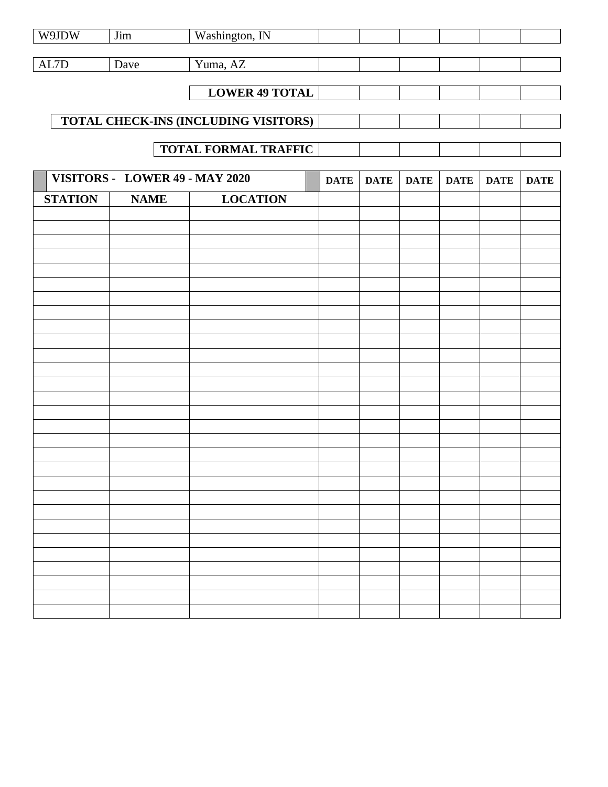| W9JDW          | $\overline{J}$ im              | Washington, IN                       |             |             |             |             |             |             |
|----------------|--------------------------------|--------------------------------------|-------------|-------------|-------------|-------------|-------------|-------------|
| AL7D           | Dave                           | Yuma, AZ                             |             |             |             |             |             |             |
|                |                                |                                      |             |             |             |             |             |             |
|                |                                | <b>LOWER 49 TOTAL</b>                |             |             |             |             |             |             |
|                |                                | TOTAL CHECK-INS (INCLUDING VISITORS) |             |             |             |             |             |             |
|                |                                |                                      |             |             |             |             |             |             |
|                |                                | <b>TOTAL FORMAL TRAFFIC</b>          |             |             |             |             |             |             |
|                | VISITORS - LOWER 49 - MAY 2020 |                                      | <b>DATE</b> | <b>DATE</b> | <b>DATE</b> | <b>DATE</b> | <b>DATE</b> | <b>DATE</b> |
| <b>STATION</b> | <b>NAME</b>                    | <b>LOCATION</b>                      |             |             |             |             |             |             |
|                |                                |                                      |             |             |             |             |             |             |
|                |                                |                                      |             |             |             |             |             |             |
|                |                                |                                      |             |             |             |             |             |             |
|                |                                |                                      |             |             |             |             |             |             |
|                |                                |                                      |             |             |             |             |             |             |
|                |                                |                                      |             |             |             |             |             |             |
|                |                                |                                      |             |             |             |             |             |             |
|                |                                |                                      |             |             |             |             |             |             |
|                |                                |                                      |             |             |             |             |             |             |
|                |                                |                                      |             |             |             |             |             |             |
|                |                                |                                      |             |             |             |             |             |             |
|                |                                |                                      |             |             |             |             |             |             |
|                |                                |                                      |             |             |             |             |             |             |
|                |                                |                                      |             |             |             |             |             |             |
|                |                                |                                      |             |             |             |             |             |             |
|                |                                |                                      |             |             |             |             |             |             |
|                |                                |                                      |             |             |             |             |             |             |
|                |                                |                                      |             |             |             |             |             |             |
|                |                                |                                      |             |             |             |             |             |             |
|                |                                |                                      |             |             |             |             |             |             |
|                |                                |                                      |             |             |             |             |             |             |
|                |                                |                                      |             |             |             |             |             |             |
|                |                                |                                      |             |             |             |             |             |             |
|                |                                |                                      |             |             |             |             |             |             |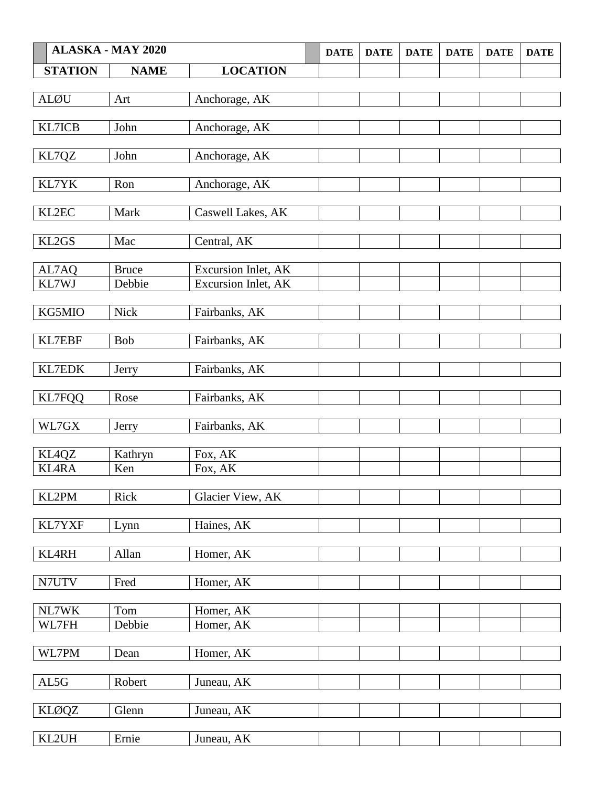|                | <b>ALASKA - MAY 2020</b> |                     | <b>DATE</b> | <b>DATE</b> | <b>DATE</b> | <b>DATE</b> | <b>DATE</b> | <b>DATE</b> |
|----------------|--------------------------|---------------------|-------------|-------------|-------------|-------------|-------------|-------------|
| <b>STATION</b> | <b>NAME</b>              | <b>LOCATION</b>     |             |             |             |             |             |             |
|                |                          |                     |             |             |             |             |             |             |
| <b>ALØU</b>    | Art                      | Anchorage, AK       |             |             |             |             |             |             |
|                |                          |                     |             |             |             |             |             |             |
| KL7ICB         | John                     | Anchorage, AK       |             |             |             |             |             |             |
| KL7QZ          | John                     | Anchorage, AK       |             |             |             |             |             |             |
|                |                          |                     |             |             |             |             |             |             |
| KL7YK          | Ron                      | Anchorage, AK       |             |             |             |             |             |             |
|                |                          |                     |             |             |             |             |             |             |
| KL2EC          | Mark                     | Caswell Lakes, AK   |             |             |             |             |             |             |
| KL2GS          | Mac                      | Central, AK         |             |             |             |             |             |             |
|                |                          |                     |             |             |             |             |             |             |
| AL7AQ          | <b>Bruce</b>             | Excursion Inlet, AK |             |             |             |             |             |             |
| KL7WJ          | Debbie                   | Excursion Inlet, AK |             |             |             |             |             |             |
| KG5MIO         | <b>Nick</b>              |                     |             |             |             |             |             |             |
|                |                          | Fairbanks, AK       |             |             |             |             |             |             |
| KL7EBF         | <b>Bob</b>               | Fairbanks, AK       |             |             |             |             |             |             |
|                |                          |                     |             |             |             |             |             |             |
| KL7EDK         | Jerry                    | Fairbanks, AK       |             |             |             |             |             |             |
|                |                          |                     |             |             |             |             |             |             |
| <b>KL7FQQ</b>  | Rose                     | Fairbanks, AK       |             |             |             |             |             |             |
| WL7GX          | Jerry                    | Fairbanks, AK       |             |             |             |             |             |             |
|                |                          |                     |             |             |             |             |             |             |
| KL4QZ          | Kathryn                  | Fox, AK             |             |             |             |             |             |             |
| <b>KL4RA</b>   | Ken                      | Fox, AK             |             |             |             |             |             |             |
|                |                          |                     |             |             |             |             |             |             |
| KL2PM          | Rick                     | Glacier View, AK    |             |             |             |             |             |             |
| KL7YXF         | Lynn                     | Haines, AK          |             |             |             |             |             |             |
|                |                          |                     |             |             |             |             |             |             |
| <b>KL4RH</b>   | Allan                    | Homer, AK           |             |             |             |             |             |             |
|                |                          |                     |             |             |             |             |             |             |
| N7UTV          | Fred                     | Homer, AK           |             |             |             |             |             |             |
| NL7WK          | Tom                      | Homer, AK           |             |             |             |             |             |             |
| WL7FH          | Debbie                   | Homer, AK           |             |             |             |             |             |             |
|                |                          |                     |             |             |             |             |             |             |
| WL7PM          | Dean                     | Homer, AK           |             |             |             |             |             |             |
|                |                          |                     |             |             |             |             |             |             |
| AL5G           | Robert                   | Juneau, AK          |             |             |             |             |             |             |
| <b>KLØQZ</b>   | Glenn                    | Juneau, AK          |             |             |             |             |             |             |
|                |                          |                     |             |             |             |             |             |             |
| KL2UH          | Ernie                    | Juneau, AK          |             |             |             |             |             |             |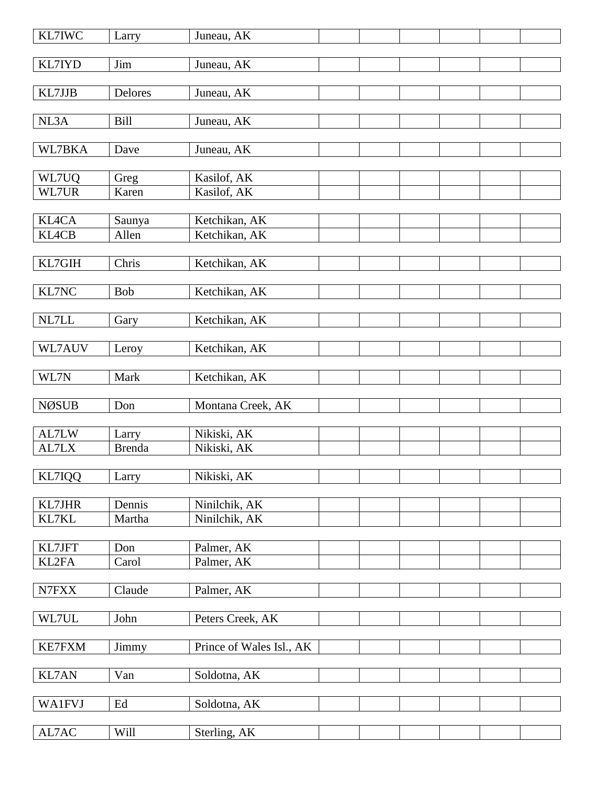| <b>KL7IWC</b>   | Larry               | Juneau, AK               |  |  |  |
|-----------------|---------------------|--------------------------|--|--|--|
| KL7IYD          | Jim                 | Juneau, AK               |  |  |  |
|                 |                     |                          |  |  |  |
| KL7JJB          | <b>Delores</b>      | Juneau, AK               |  |  |  |
| NL3A            | <b>Bill</b>         | Juneau, AK               |  |  |  |
|                 |                     |                          |  |  |  |
| WL7BKA          | Dave                | Juneau, AK               |  |  |  |
|                 |                     |                          |  |  |  |
| WL7UQ           | Greg                | Kasilof, AK              |  |  |  |
| WL7UR           | Karen               | Kasilof, AK              |  |  |  |
| <b>KL4CA</b>    | Saunya              | Ketchikan, AK            |  |  |  |
| <b>KL4CB</b>    | Allen               | Ketchikan, AK            |  |  |  |
|                 |                     |                          |  |  |  |
| KL7GIH          | Chris               | Ketchikan, AK            |  |  |  |
|                 |                     |                          |  |  |  |
| KL7NC           | <b>Bob</b>          | Ketchikan, AK            |  |  |  |
|                 |                     |                          |  |  |  |
| $\it NL7LL$     | Gary                | Ketchikan, AK            |  |  |  |
|                 |                     |                          |  |  |  |
| WL7AUV          | Leroy               | Ketchikan, AK            |  |  |  |
| WL7N            | Mark                | Ketchikan, AK            |  |  |  |
|                 |                     |                          |  |  |  |
| <b>NØSUB</b>    | Don                 | Montana Creek, AK        |  |  |  |
|                 |                     |                          |  |  |  |
| AL7LW           | Larry               | Nikiski, AK              |  |  |  |
| AL7LX           | <b>Brenda</b>       | Nikiski, AK              |  |  |  |
|                 |                     |                          |  |  |  |
| <b>KL7IQQ</b>   | Larry               | Nikiski, AK              |  |  |  |
|                 |                     |                          |  |  |  |
| KL7JHR<br>KL7KL | Dennis<br>Martha    | Ninilchik, AK            |  |  |  |
|                 |                     | Ninilchik, AK            |  |  |  |
| KL7JFT          | Don                 | Palmer, AK               |  |  |  |
| KL2FA           | Carol               | Palmer, AK               |  |  |  |
|                 |                     |                          |  |  |  |
| ${\rm N7FXX}$   | Claude              | Palmer, AK               |  |  |  |
|                 |                     |                          |  |  |  |
| WL7UL           | John                | Peters Creek, AK         |  |  |  |
|                 |                     |                          |  |  |  |
| <b>KE7FXM</b>   | Jimmy               | Prince of Wales Isl., AK |  |  |  |
| <b>KL7AN</b>    |                     |                          |  |  |  |
|                 | Van                 | Soldotna, AK             |  |  |  |
| <b>WA1FVJ</b>   | $\operatorname{Ed}$ | Soldotna, AK             |  |  |  |
|                 |                     |                          |  |  |  |
| $\text{AL7AC}$  | Will                | Sterling, AK             |  |  |  |